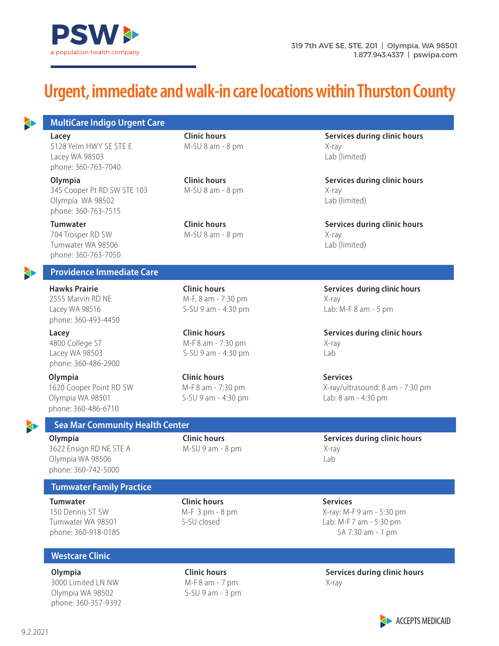

# **Urgent, immediate and walk-in care locations within Thurston County**

**MultiCare Indigo Urgent Care**

5128 Yelm HWY SE STE E M-SU 8 am - 8 pm X-ray Lacey WA 98503 Lab (limited) phone: 360-763-7040

345 Cooper Pt RD SW STE 103 M-SU 8 am - 8 pm X-ray Olympia WA 98502 Lab (limited) phone: 360-763-7515

704 Trosper RD SW M-SU 8 am - 8 pm X-ray Tumwater WA 98506 Lab (limited) phone: 360-763-7050

#### **Providence Immediate Care**

2555 Marvin RD NE M-F, 8 am - 7:30 pm Lacey WA 98516 S-SU 9 am - 4:30 pm Lab: M-F 8 am - 5 pm phone: 360-493-4450

4800 College ST **M-F 8 am - 7:30 pm** X-ray Lacey WA 98503 S-SU 9 am - 4:30 pm phone: 360-486-2900

**Olympia** Services **Clinic hours** Clinic **Clinic Services** Olympia WA 98501 S-SU 9 am - 4:30 pm Lab: 8 am - 4:30 pm phone: 360-486-6710

**Lacey Clinic hours Clinic hours Services during clinic hours** 

**Olympia** Clinic hours **Clinic hours** Services during clinic hours

**Tumwater Clinic hours** Clinic hours **Services during clinic hours Clinic hours Services during clinic hours** 

**Hawks Prairie Clinic hours Services during clinic hours**

**Lacey Clinic hours Clinic hours Services during clinic hours** 

1620 Cooper Point RD SW M-F 8 am - 7:30 pm X-ray/ultrasound: 8 am - 7:30 pm

**Olympia Clinic hours** Clinic hours **Services during clinic hours Clinic hours Clinic hours Clinic hours** M-SU 9 am - 8 pm X-ray

150 Dennis ST SW M-F 3 pm - 8 pm CM-F 3 pm - 8 pm Tumwater WA 98501 S-SU closed Lab: M-F 7 am - 5:30 pm phone: 360-918-0185 SA 7:30 am - 1 pm

> **Services during clinic hours**  X-ray



 **Sea Mar Community Health Center** 

Olympia WA 98506 Lab phone: 360-742-5000 3622 Ensign RD NE STE A

**Tumwater Family Practice**

**Tumwater Clinic hours** Clinic hours **Services** 

**Westcare Clinic**

**Olympia**  3000 Limited LN NW Olympia WA 98502 phone: 360-357-9392 **Clinic hours**  M-F 8 am - 7 pm  $S-SU$  9 am - 3 pm